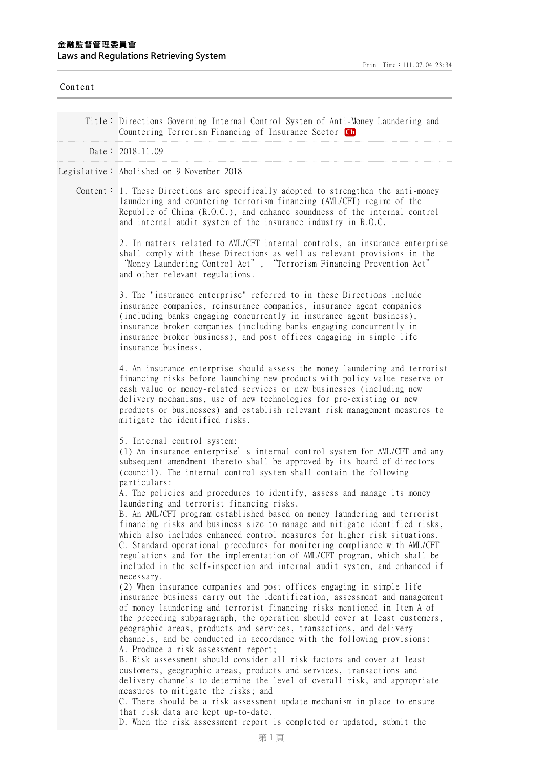| Content |                                                                                                                                                                                                                                                                                                                                                                                                                                                                                                                                                                                                      |
|---------|------------------------------------------------------------------------------------------------------------------------------------------------------------------------------------------------------------------------------------------------------------------------------------------------------------------------------------------------------------------------------------------------------------------------------------------------------------------------------------------------------------------------------------------------------------------------------------------------------|
|         | Title: Directions Governing Internal Control System of Anti-Money Laundering and<br>Countering Terrorism Financing of Insurance Sector Ch                                                                                                                                                                                                                                                                                                                                                                                                                                                            |
|         | Date: 2018.11.09                                                                                                                                                                                                                                                                                                                                                                                                                                                                                                                                                                                     |
|         | Legislative: Abolished on 9 November 2018                                                                                                                                                                                                                                                                                                                                                                                                                                                                                                                                                            |
|         | Content: 1. These Directions are specifically adopted to strengthen the anti-money<br>laundering and countering terrorism financing (AML/CFT) regime of the<br>Republic of China $(R.0.C.)$ , and enhance soundness of the internal control<br>and internal audit system of the insurance industry in R.O.C.                                                                                                                                                                                                                                                                                         |
|         | 2. In matters related to AML/CFT internal controls, an insurance enterprise<br>shall comply with these Directions as well as relevant provisions in the<br>"Money Laundering Control Act", "Terrorism Financing Prevention Act"<br>and other relevant regulations.                                                                                                                                                                                                                                                                                                                                   |
|         | 3. The "insurance enterprise" referred to in these Directions include<br>insurance companies, reinsurance companies, insurance agent companies<br>(including banks engaging concurrently in insurance agent business),<br>insurance broker companies (including banks engaging concurrently in<br>insurance broker business), and post offices engaging in simple life<br>insurance business.                                                                                                                                                                                                        |
|         | 4. An insurance enterprise should assess the money laundering and terrorist<br>financing risks before launching new products with policy value reserve or<br>cash value or money-related services or new businesses (including new<br>delivery mechanisms, use of new technologies for pre-existing or new<br>products or businesses) and establish relevant risk management measures to<br>mitigate the identified risks.                                                                                                                                                                           |
|         | 5. Internal control system:<br>(1) An insurance enterprise's internal control system for AML/CFT and any<br>subsequent amendment thereto shall be approved by its board of directors<br>(council). The internal control system shall contain the following<br>particulars:                                                                                                                                                                                                                                                                                                                           |
|         | A. The policies and procedures to identify, assess and manage its money<br>laundering and terrorist financing risks.<br>B. An AML/CFT program established based on money laundering and terrorist<br>financing risks and business size to manage and mitigate identified risks,<br>which also includes enhanced control measures for higher risk situations.<br>C. Standard operational procedures for monitoring compliance with AML/CFT<br>regulations and for the implementation of AML/CFT program, which shall be<br>included in the self-inspection and internal audit system, and enhanced if |
|         | necessary.<br>(2) When insurance companies and post offices engaging in simple life<br>insurance business carry out the identification, assessment and management<br>of money laundering and terrorist financing risks mentioned in Item A of<br>the preceding subparagraph, the operation should cover at least customers,<br>geographic areas, products and services, transactions, and delivery<br>channels, and be conducted in accordance with the following provisions:<br>A. Produce a risk assessment report;                                                                                |
|         | B. Risk assessment should consider all risk factors and cover at least<br>customers, geographic areas, products and services, transactions and<br>delivery channels to determine the level of overall risk, and appropriate<br>measures to mitigate the risks; and<br>C. There should be a risk assessment update mechanism in place to ensure<br>that risk data are kept up-to-date.                                                                                                                                                                                                                |
|         | D. When the risk assessment report is completed or updated, submit the                                                                                                                                                                                                                                                                                                                                                                                                                                                                                                                               |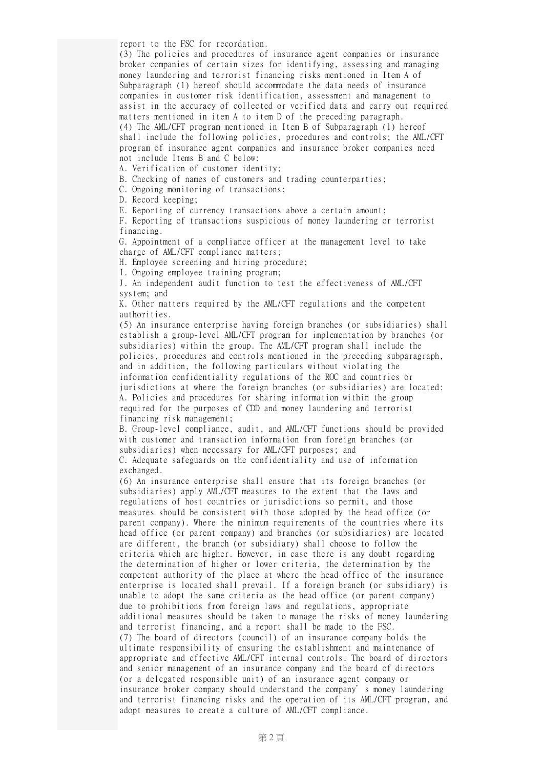report to the FSC for recordation.

(3) The policies and procedures of insurance agent companies or insurance broker companies of certain sizes for identifying, assessing and managing money laundering and terrorist financing risks mentioned in Item A of Subparagraph (1) hereof should accommodate the data needs of insurance companies in customer risk identification, assessment and management to assist in the accuracy of collected or verified data and carry out required matters mentioned in item A to item D of the preceding paragraph. (4) The AML/CFT program mentioned in Item B of Subparagraph (1) hereof shall include the following policies, procedures and controls; the AML/CFT program of insurance agent companies and insurance broker companies need not include Items B and C below:

A. Verification of customer identity;

B. Checking of names of customers and trading counterparties;

C. Ongoing monitoring of transactions;

D. Record keeping;

E. Reporting of currency transactions above a certain amount;

F. Reporting of transactions suspicious of money laundering or terrorist financing.

G. Appointment of a compliance officer at the management level to take charge of AML/CFT compliance matters;

H. Employee screening and hiring procedure;

I. Ongoing employee training program;

J. An independent audit function to test the effectiveness of AML/CFT system; and

K. Other matters required by the AML/CFT regulations and the competent authorities.

(5) An insurance enterprise having foreign branches (or subsidiaries) shall establish a group-level AML/CFT program for implementation by branches (or subsidiaries) within the group. The AML/CFT program shall include the policies, procedures and controls mentioned in the preceding subparagraph, and in addition, the following particulars without violating the information confidentiality regulations of the ROC and countries or jurisdictions at where the foreign branches (or subsidiaries) are located: A. Policies and procedures for sharing information within the group required for the purposes of CDD and money laundering and terrorist financing risk management;

B. Group-level compliance, audit, and AML/CFT functions should be provided with customer and transaction information from foreign branches (or subsidiaries) when necessary for AML/CFT purposes; and C. Adequate safeguards on the confidentiality and use of information

exchanged.

(6) An insurance enterprise shall ensure that its foreign branches (or subsidiaries) apply AML/CFT measures to the extent that the laws and regulations of host countries or jurisdictions so permit, and those measures should be consistent with those adopted by the head office (or parent company). Where the minimum requirements of the countries where its head office (or parent company) and branches (or subsidiaries) are located are different, the branch (or subsidiary) shall choose to follow the criteria which are higher. However, in case there is any doubt regarding the determination of higher or lower criteria, the determination by the competent authority of the place at where the head office of the insurance enterprise is located shall prevail. If a foreign branch (or subsidiary) is unable to adopt the same criteria as the head office (or parent company) due to prohibitions from foreign laws and regulations, appropriate additional measures should be taken to manage the risks of money laundering and terrorist financing, and a report shall be made to the FSC. (7) The board of directors (council) of an insurance company holds the ultimate responsibility of ensuring the establishment and maintenance of appropriate and effective AML/CFT internal controls. The board of directors and senior management of an insurance company and the board of directors (or a delegated responsible unit) of an insurance agent company or insurance broker company should understand the company's money laundering and terrorist financing risks and the operation of its AML/CFT program, and adopt measures to create a culture of AML/CFT compliance.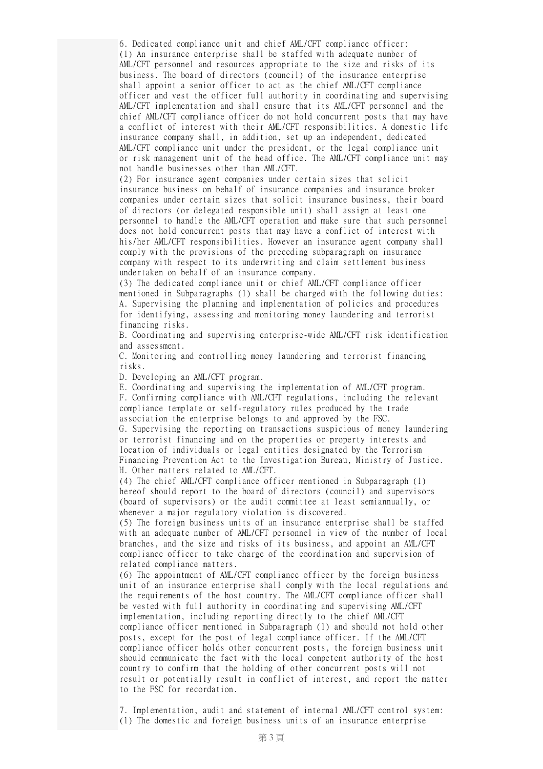6. Dedicated compliance unit and chief AML/CFT compliance officer: (1) An insurance enterprise shall be staffed with adequate number of AML/CFT personnel and resources appropriate to the size and risks of its business. The board of directors (council) of the insurance enterprise shall appoint a senior officer to act as the chief AML/CFT compliance officer and vest the officer full authority in coordinating and supervising AML/CFT implementation and shall ensure that its AML/CFT personnel and the chief AML/CFT compliance officer do not hold concurrent posts that may have a conflict of interest with their AML/CFT responsibilities. A domestic life insurance company shall, in addition, set up an independent, dedicated AML/CFT compliance unit under the president, or the legal compliance unit or risk management unit of the head office. The AML/CFT compliance unit may not handle businesses other than AML/CFT.

(2) For insurance agent companies under certain sizes that solicit insurance business on behalf of insurance companies and insurance broker companies under certain sizes that solicit insurance business, their board of directors (or delegated responsible unit) shall assign at least one personnel to handle the AML/CFT operation and make sure that such personnel does not hold concurrent posts that may have a conflict of interest with his/her AML/CFT responsibilities. However an insurance agent company shall comply with the provisions of the preceding subparagraph on insurance company with respect to its underwriting and claim settlement business undertaken on behalf of an insurance company.

(3) The dedicated compliance unit or chief AML/CFT compliance officer mentioned in Subparagraphs (1) shall be charged with the following duties: A. Supervising the planning and implementation of policies and procedures for identifying, assessing and monitoring money laundering and terrorist financing risks.

B. Coordinating and supervising enterprise-wide AML/CFT risk identification and assessment.

C. Monitoring and controlling money laundering and terrorist financing risks.

D. Developing an AML/CFT program.

E. Coordinating and supervising the implementation of AML/CFT program.

F. Confirming compliance with AML/CFT regulations, including the relevant compliance template or self-regulatory rules produced by the trade association the enterprise belongs to and approved by the FSC.

G. Supervising the reporting on transactions suspicious of money laundering or terrorist financing and on the properties or property interests and location of individuals or legal entities designated by the Terrorism Financing Prevention Act to the Investigation Bureau, Ministry of Justice. H. Other matters related to AML/CFT.

(4) The chief AML/CFT compliance officer mentioned in Subparagraph (1) hereof should report to the board of directors (council) and supervisors (board of supervisors) or the audit committee at least semiannually, or whenever a major regulatory violation is discovered.

(5) The foreign business units of an insurance enterprise shall be staffed with an adequate number of AML/CFT personnel in view of the number of local branches, and the size and risks of its business, and appoint an AML/CFT compliance officer to take charge of the coordination and supervision of related compliance matters.

(6) The appointment of AML/CFT compliance officer by the foreign business unit of an insurance enterprise shall comply with the local regulations and the requirements of the host country. The AML/CFT compliance officer shall be vested with full authority in coordinating and supervising AML/CFT implementation, including reporting directly to the chief AML/CFT compliance officer mentioned in Subparagraph (1) and should not hold other posts, except for the post of legal compliance officer. If the AML/CFT compliance officer holds other concurrent posts, the foreign business unit should communicate the fact with the local competent authority of the host country to confirm that the holding of other concurrent posts will not result or potentially result in conflict of interest, and report the matter to the FSC for recordation.

7. Implementation, audit and statement of internal AML/CFT control system: (1) The domestic and foreign business units of an insurance enterprise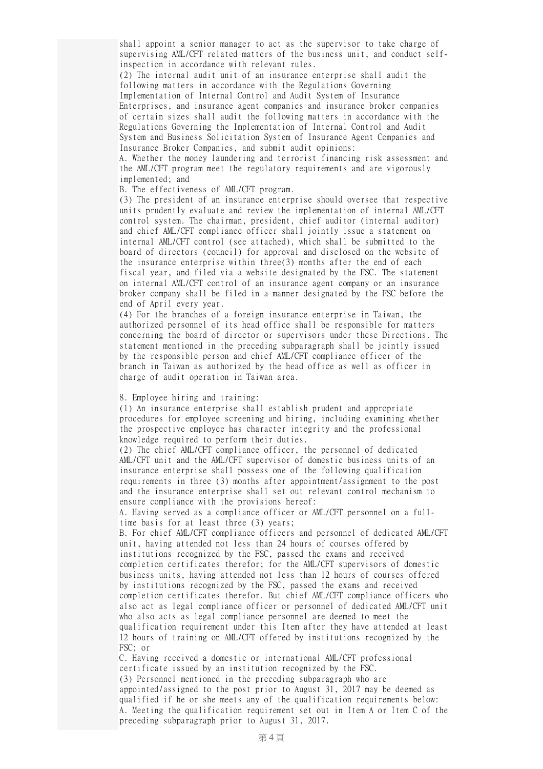shall appoint a senior manager to act as the supervisor to take charge of supervising AML/CFT related matters of the business unit, and conduct selfinspection in accordance with relevant rules.

(2) The internal audit unit of an insurance enterprise shall audit the following matters in accordance with the Regulations Governing Implementation of Internal Control and Audit System of Insurance Enterprises, and insurance agent companies and insurance broker companies of certain sizes shall audit the following matters in accordance with the Regulations Governing the Implementation of Internal Control and Audit System and Business Solicitation System of Insurance Agent Companies and Insurance Broker Companies, and submit audit opinions:

A. Whether the money laundering and terrorist financing risk assessment and the AML/CFT program meet the regulatory requirements and are vigorously implemented; and

B. The effectiveness of AML/CFT program.

(3) The president of an insurance enterprise should oversee that respective units prudently evaluate and review the implementation of internal AML/CFT control system. The chairman, president, chief auditor (internal auditor) and chief AML/CFT compliance officer shall jointly issue a statement on internal AML/CFT control (see attached), which shall be submitted to the board of directors (council) for approval and disclosed on the website of the insurance enterprise within three(3) months after the end of each fiscal year, and filed via a website designated by the FSC. The statement on internal AML/CFT control of an insurance agent company or an insurance broker company shall be filed in a manner designated by the FSC before the end of April every year.

(4) For the branches of a foreign insurance enterprise in Taiwan, the authorized personnel of its head office shall be responsible for matters concerning the board of director or supervisors under these Directions. The statement mentioned in the preceding subparagraph shall be jointly issued by the responsible person and chief AML/CFT compliance officer of the branch in Taiwan as authorized by the head office as well as officer in charge of audit operation in Taiwan area.

## 8. Employee hiring and training:

(1) An insurance enterprise shall establish prudent and appropriate procedures for employee screening and hiring, including examining whether the prospective employee has character integrity and the professional knowledge required to perform their duties.

(2) The chief AML/CFT compliance officer, the personnel of dedicated AML/CFT unit and the AML/CFT supervisor of domestic business units of an insurance enterprise shall possess one of the following qualification requirements in three (3) months after appointment/assignment to the post and the insurance enterprise shall set out relevant control mechanism to ensure compliance with the provisions hereof:

A. Having served as a compliance officer or AML/CFT personnel on a fulltime basis for at least three (3) years;

B. For chief AML/CFT compliance officers and personnel of dedicated AML/CFT unit, having attended not less than 24 hours of courses offered by institutions recognized by the FSC, passed the exams and received completion certificates therefor; for the AML/CFT supervisors of domestic business units, having attended not less than 12 hours of courses offered by institutions recognized by the FSC, passed the exams and received completion certificates therefor. But chief AML/CFT compliance officers who also act as legal compliance officer or personnel of dedicated AML/CFT unit who also acts as legal compliance personnel are deemed to meet the qualification requirement under this Item after they have attended at least 12 hours of training on AML/CFT offered by institutions recognized by the FSC; or

C. Having received a domestic or international AML/CFT professional certificate issued by an institution recognized by the FSC. (3) Personnel mentioned in the preceding subparagraph who are appointed/assigned to the post prior to August 31, 2017 may be deemed as qualified if he or she meets any of the qualification requirements below: A. Meeting the qualification requirement set out in Item A or Item C of the preceding subparagraph prior to August 31, 2017.